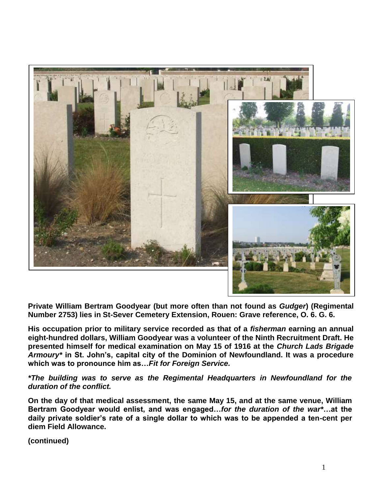

**Private William Bertram Goodyear (but more often than not found as** *Gudger***) (Regimental Number 2753) lies in St-Sever Cemetery Extension, Rouen: Grave reference, O. 6. G. 6.** 

**His occupation prior to military service recorded as that of a** *fisherman* **earning an annual eight-hundred dollars, William Goodyear was a volunteer of the Ninth Recruitment Draft. He presented himself for medical examination on May 15 of 1916 at the** *Church Lads Brigade Armoury\** **in St. John's, capital city of the Dominion of Newfoundland. It was a procedure which was to pronounce him as…***Fit for Foreign Service.* 

*\*The building was to serve as the Regimental Headquarters in Newfoundland for the duration of the conflict.*

**On the day of that medical assessment, the same May 15, and at the same venue, William Bertram Goodyear would enlist, and was engaged…***for the duration of the war\****…at the daily private soldier's rate of a single dollar to which was to be appended a ten-cent per diem Field Allowance.**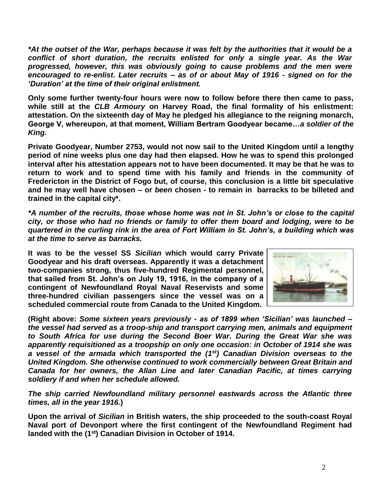*\*At the outset of the War, perhaps because it was felt by the authorities that it would be a conflict of short duration, the recruits enlisted for only a single year. As the War progressed, however, this was obviously going to cause problems and the men were encouraged to re-enlist***.** *Later recruits – as of or about May of 1916 - signed on for the 'Duration' at the time of their original enlistment.*

**Only some further twenty-four hours were now to follow before there then came to pass, while still at the** *CLB Armoury* **on Harvey Road, the final formality of his enlistment: attestation. On the sixteenth day of May he pledged his allegiance to the reigning monarch, George V, whereupon, at that moment, William Bertram Goodyear became…***a soldier of the King.*

**Private Goodyear, Number 2753, would not now sail to the United Kingdom until a lengthy period of nine weeks plus one day had then elapsed. How he was to spend this prolonged interval after his attestation appears not to have been documented. It may be that he was to return to work and to spend time with his family and friends in the community of Fredericton in the District of Fogo but, of course, this conclusion is a little bit speculative and he may well have chosen – or** *been* **chosen - to remain in barracks to be billeted and trained in the capital city\*.**

*\*A number of the recruits, those whose home was not in St. John's or close to the capital city, or those who had no friends or family to offer them board and lodging, were to be quartered in the curling rink in the area of Fort William in St. John's, a building which was at the time to serve as barracks.*

**It was to be the vessel SS** *Sicilian* **which would carry Private Goodyear and his draft overseas. Apparently it was a detachment two-companies strong, thus five-hundred Regimental personnel, that sailed from St. John's on July 19, 1916, in the company of a contingent of Newfoundland Royal Naval Reservists and some three-hundred civilian passengers since the vessel was on a scheduled commercial route from Canada to the United Kingdom.**



**(Right above:** *Some sixteen years previously - as of 1899 when 'Sicilian' was launched – the vessel had served as a troop-ship and transport carrying men, animals and equipment to South Africa for use during the Second Boer War. During the Great War she was apparently requisitioned as a troopship on only one occasion: in October of 1914 she was a vessel of the armada which transported the (1st) Canadian Division overseas to the United Kingdom. She otherwise continued to work commercially between Great Britain and Canada for her owners, the Allan Line and later Canadian Pacific, at times carrying soldiery if and when her schedule allowed.*

*The ship carried Newfoundland military personnel eastwards across the Atlantic three times, all in the year 1916.***)**

**Upon the arrival of** *Sicilian* **in British waters, the ship proceeded to the south-coast Royal Naval port of Devonport where the first contingent of the Newfoundland Regiment had landed with the (1st) Canadian Division in October of 1914.**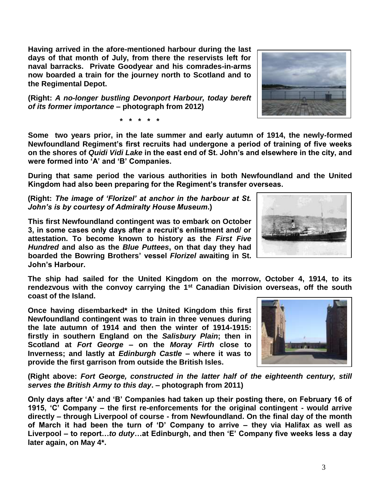**Having arrived in the afore-mentioned harbour during the last days of that month of July, from there the reservists left for naval barracks. Private Goodyear and his comrades-in-arms now boarded a train for the journey north to Scotland and to the Regimental Depot.** 

**(Right:** *A no-longer bustling Devonport Harbour, today bereft of its former importance* **– photograph from 2012)**

**\* \* \* \* \***

**Some two years prior, in the late summer and early autumn of 1914, the newly-formed Newfoundland Regiment's first recruits had undergone a period of training of five weeks on the shores of** *Quidi Vidi Lake* **in the east end of St. John's and elsewhere in the city, and were formed into 'A' and 'B' Companies.** 

**During that same period the various authorities in both Newfoundland and the United Kingdom had also been preparing for the Regiment's transfer overseas.**

**(Right:** *The image of 'Florizel' at anchor in the harbour at St. John's is by courtesy of Admiralty House Museum***.)**

**This first Newfoundland contingent was to embark on October 3, in some cases only days after a recruit's enlistment and/ or attestation. To become known to history as the** *First Five Hundred* **and also as the** *Blue Puttees***, on that day they had boarded the Bowring Brothers' vessel** *Florizel* **awaiting in St. John's Harbour.**

**The ship had sailed for the United Kingdom on the morrow, October 4, 1914, to its rendezvous with the convoy carrying the 1st Canadian Division overseas, off the south coast of the Island.** 

**Once having disembarked\* in the United Kingdom this first Newfoundland contingent was to train in three venues during the late autumn of 1914 and then the winter of 1914-1915: firstly in southern England on the** *Salisbury Plain***; then in Scotland at** *Fort George* **– on the** *Moray Firth* **close to Inverness; and lastly at** *Edinburgh Castle* **– where it was to provide the first garrison from outside the British Isles.**

**(Right above:** *Fort George, constructed in the latter half of the eighteenth century, still serves the British Army to this day***. – photograph from 2011)**

**Only days after 'A' and 'B' Companies had taken up their posting there, on February 16 of 1915, 'C' Company – the first re-enforcements for the original contingent - would arrive directly – through Liverpool of course - from Newfoundland. On the final day of the month of March it had been the turn of 'D' Company to arrive – they via Halifax as well as Liverpool – to report…***to duty***…at Edinburgh, and then 'E' Company five weeks less a day later again, on May 4\*.**





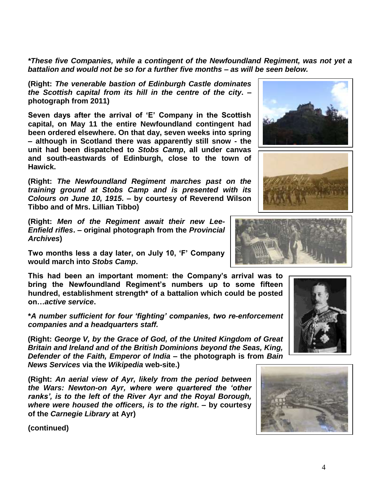*\*These five Companies, while a contingent of the Newfoundland Regiment, was not yet a battalion and would not be so for a further five months – as will be seen below.*

**(Right:** *The venerable bastion of Edinburgh Castle dominates the Scottish capital from its hill in the centre of the city***. – photograph from 2011)**

**Seven days after the arrival of 'E' Company in the Scottish capital, on May 11 the entire Newfoundland contingent had been ordered elsewhere. On that day, seven weeks into spring – although in Scotland there was apparently still snow - the unit had been dispatched to** *Stobs Camp***, all under canvas and south-eastwards of Edinburgh, close to the town of Hawick.**

**(Right:** *The Newfoundland Regiment marches past on the training ground at Stobs Camp and is presented with its Colours on June 10, 1915.* **– by courtesy of Reverend Wilson Tibbo and of Mrs. Lillian Tibbo)**

**(Right:** *Men of the Regiment await their new Lee-Enfield rifles***. – original photograph from the** *Provincial Archives***)**

**Two months less a day later, on July 10, 'F' Company would march into** *Stobs Camp***.** 

**This had been an important moment: the Company's arrival was to bring the Newfoundland Regiment's numbers up to some fifteen hundred, establishment strength\* of a battalion which could be posted on…***active service***.**

**\****A number sufficient for four 'fighting' companies, two re-enforcement companies and a headquarters staff.*

**(Right:** *George V, by the Grace of God, of the United Kingdom of Great Britain and Ireland and of the British Dominions beyond the Seas, King, Defender of the Faith, Emperor of India* **– the photograph is from** *Bain News Services* **via the** *Wikipedia* **web-site.)**

**(Right:** *An aerial view of Ayr, likely from the period between the Wars: Newton-on Ayr, where were quartered the 'other ranks', is to the left of the River Ayr and the Royal Borough, where were housed the officers, is to the right***. – by courtesy of the** *Carnegie Library* **at Ayr)**









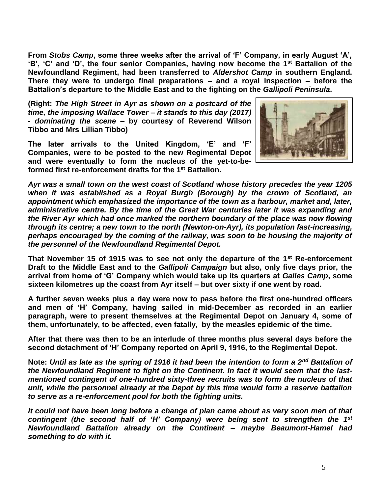**From** *Stobs Camp***, some three weeks after the arrival of 'F' Company, in early August 'A', 'B', 'C' and 'D', the four senior Companies, having now become the 1st Battalion of the Newfoundland Regiment, had been transferred to** *Aldershot Camp* **in southern England. There they were to undergo final preparations – and a royal inspection – before the Battalion's departure to the Middle East and to the fighting on the** *Gallipoli Peninsula***.**

**(Right:** *The High Street in Ayr as shown on a postcard of the time, the imposing Wallace Tower – it stands to this day (2017) - dominating the scene* **– by courtesy of Reverend Wilson Tibbo and Mrs Lillian Tibbo)**

**The later arrivals to the United Kingdom, 'E' and 'F' Companies, were to be posted to the new Regimental Depot and were eventually to form the nucleus of the yet-to-beformed first re-enforcement drafts for the 1st Battalion.** 



*Ayr was a small town on the west coast of Scotland whose history precedes the year 1205 when it was established as a Royal Burgh (Borough) by the crown of Scotland, an appointment which emphasized the importance of the town as a harbour, market and, later, administrative centre. By the time of the Great War centuries later it was expanding and the River Ayr which had once marked the northern boundary of the place was now flowing through its centre; a new town to the north (Newton-on-Ayr), its population fast-increasing, perhaps encouraged by the coming of the railway, was soon to be housing the majority of the personnel of the Newfoundland Regimental Depot.* 

**That November 15 of 1915 was to see not only the departure of the 1st Re-enforcement Draft to the Middle East and to the** *Gallipoli Campaign* **but also, only five days prior, the arrival from home of 'G' Company which would take up its quarters at** *Gailes Camp***, some sixteen kilometres up the coast from Ayr itself – but over sixty if one went by road.**

**A further seven weeks plus a day were now to pass before the first one-hundred officers and men of 'H' Company, having sailed in mid-December as recorded in an earlier paragraph, were to present themselves at the Regimental Depot on January 4, some of them, unfortunately, to be affected, even fatally, by the measles epidemic of the time.**

**After that there was then to be an interlude of three months plus several days before the second detachment of 'H' Company reported on April 9, 1916, to the Regimental Depot.**

**Note:** *Until as late as the spring of 1916 it had been the intention to form a 2nd Battalion of the Newfoundland Regiment to fight on the Continent. In fact it would seem that the lastmentioned contingent of one-hundred sixty-three recruits was to form the nucleus of that unit, while the personnel already at the Depot by this time would form a reserve battalion to serve as a re-enforcement pool for both the fighting units.*

*It could not have been long before a change of plan came about as very soon men of that contingent (the second half of 'H' Company) were being sent to strengthen the 1st Newfoundland Battalion already on the Continent – maybe Beaumont-Hamel had something to do with it.*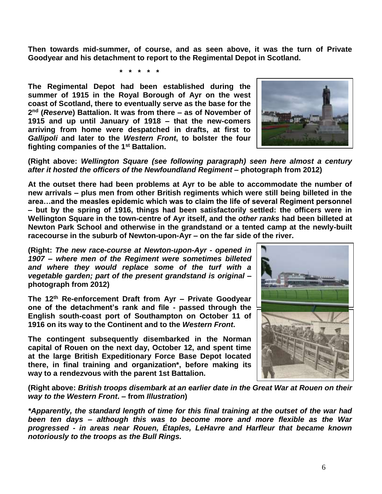**Then towards mid-summer, of course, and as seen above, it was the turn of Private Goodyear and his detachment to report to the Regimental Depot in Scotland.**

**\* \* \* \* \***

**The Regimental Depot had been established during the summer of 1915 in the Royal Borough of Ayr on the west coast of Scotland, there to eventually serve as the base for the 2 nd (***Reserve***) Battalion. It was from there – as of November of 1915 and up until January of 1918 – that the new-comers arriving from home were despatched in drafts, at first to**  *Gallipoli* **and later to the** *Western Front***, to bolster the four fighting companies of the 1st Battalion.** 



**(Right above:** *Wellington Square (see following paragraph) seen here almost a century after it hosted the officers of the Newfoundland Regiment* **– photograph from 2012)**

**At the outset there had been problems at Ayr to be able to accommodate the number of new arrivals – plus men from other British regiments which were still being billeted in the area…and the measles epidemic which was to claim the life of several Regiment personnel – but by the spring of 1916, things had been satisfactorily settled: the officers were in Wellington Square in the town-centre of Ayr itself, and the** *other ranks* **had been billeted at Newton Park School and otherwise in the grandstand or a tented camp at the newly-built racecourse in the suburb of Newton-upon-Ayr – on the far side of the river.**

**(Right:** *The new race-course at Newton-upon-Ayr - opened in 1907 – where men of the Regiment were sometimes billeted and where they would replace some of the turf with a vegetable garden; part of the present grandstand is original* **– photograph from 2012)**

**The 12th Re-enforcement Draft from Ayr – Private Goodyear one of the detachment's rank and file - passed through the English south-coast port of Southampton on October 11 of 1916 on its way to the Continent and to the** *Western Front***.**

**The contingent subsequently disembarked in the Norman capital of Rouen on the next day, October 12, and spent time at the large British Expeditionary Force Base Depot located there, in final training and organization\*, before making its way to a rendezvous with the parent 1st Battalion.**



**(Right above:** *British troops disembark at an earlier date in the Great War at Rouen on their way to the Western Front***. – from** *Illustration***)**

*\*Apparently, the standard length of time for this final training at the outset of the war had been ten days – although this was to become more and more flexible as the War progressed - in areas near Rouen, Étaples, LeHavre and Harfleur that became known notoriously to the troops as the Bull Rings.*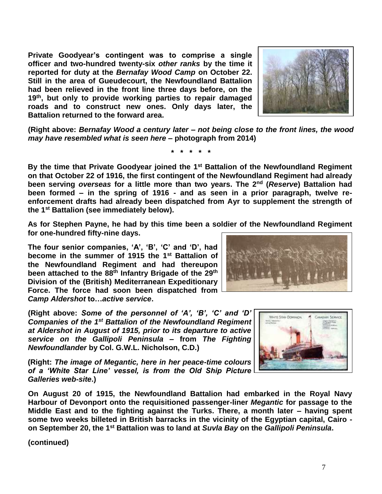**Private Goodyear's contingent was to comprise a single officer and two-hundred twenty-six** *other ranks* **by the time it reported for duty at the** *Bernafay Wood Camp* **on October 22. Still in the area of Gueudecourt, the Newfoundland Battalion had been relieved in the front line three days before, on the 19th, but only to provide working parties to repair damaged roads and to construct new ones. Only days later, the Battalion returned to the forward area.** 



**(Right above:** *Bernafay Wood a century later – not being close to the front lines, the wood may have resembled what is seen here* **– photograph from 2014)**

**\* \* \* \* \***

**By the time that Private Goodyear joined the 1st Battalion of the Newfoundland Regiment on that October 22 of 1916, the first contingent of the Newfoundland Regiment had already been serving** *overseas* **for a little more than two years. The 2nd (***Reserve***) Battalion had been formed – in the spring of 1916 - and as seen in a prior paragraph, twelve reenforcement drafts had already been dispatched from Ayr to supplement the strength of the 1st Battalion (see immediately below).** 

**As for Stephen Payne, he had by this time been a soldier of the Newfoundland Regiment for one-hundred fifty-nine days.**

**The four senior companies, 'A', 'B', 'C' and 'D', had become in the summer of 1915 the 1st Battalion of the Newfoundland Regiment and had thereupon been attached to the 88th Infantry Brigade of the 29th Division of the (British) Mediterranean Expeditionary Force. The force had soon been dispatched from**  *Camp Aldershot* **to…***active service***.**

**(Right above:** *Some of the personnel of 'A', 'B', 'C' and 'D' Companies of the 1st Battalion of the Newfoundland Regiment at Aldershot in August of 1915, prior to its departure to active service on the Gallipoli Peninsula* **– from** *The Fighting Newfoundlander* **by Col. G.W.L. Nicholson, C.D.)**

**(Right:** *The image of Megantic, here in her peace-time colours of a 'White Star Line' vessel, is from the Old Ship Picture Galleries web-site***.)**



**On August 20 of 1915, the Newfoundland Battalion had embarked in the Royal Navy Harbour of Devonport onto the requisitioned passenger-liner** *Megantic* **for passage to the Middle East and to the fighting against the Turks. There, a month later – having spent some two weeks billeted in British barracks in the vicinity of the Egyptian capital, Cairo on September 20, the 1st Battalion was to land at** *Suvla Bay* **on the** *Gallipoli Peninsula***.**

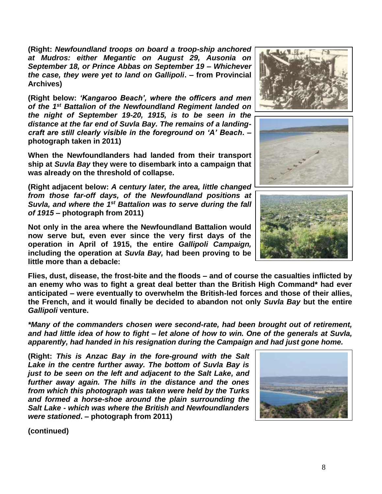**(Right:** *Newfoundland troops on board a troop-ship anchored at Mudros: either Megantic on August 29, Ausonia on September 18, or Prince Abbas on September 19 – Whichever the case, they were yet to land on Gallipoli***. – from Provincial Archives)**

**(Right below:** *'Kangaroo Beach', where the officers and men of the 1st Battalion of the Newfoundland Regiment landed on the night of September 19-20, 1915, is to be seen in the distance at the far end of Suvla Bay. The remains of a landingcraft are still clearly visible in the foreground on 'A' Beach***. – photograph taken in 2011)**

**When the Newfoundlanders had landed from their transport ship at** *Suvla Bay* **they were to disembark into a campaign that was already on the threshold of collapse.**

**(Right adjacent below:** *A century later, the area, little changed from those far-off days, of the Newfoundland positions at Suvla, and where the 1st Battalion was to serve during the fall of 1915* **– photograph from 2011)**

**Not only in the area where the Newfoundland Battalion would now serve but, even ever since the very first days of the operation in April of 1915, the entire** *Gallipoli Campaign,* **including the operation at** *Suvla Bay,* **had been proving to be little more than a debacle:** 

**Flies, dust, disease, the frost-bite and the floods – and of course the casualties inflicted by an enemy who was to fight a great deal better than the British High Command\* had ever anticipated – were eventually to overwhelm the British-led forces and those of their allies, the French, and it would finally be decided to abandon not only** *Suvla Bay* **but the entire**  *Gallipoli* **venture.**

*\*Many of the commanders chosen were second-rate, had been brought out of retirement, and had little idea of how to fight – let alone of how to win. One of the generals at Suvla, apparently, had handed in his resignation during the Campaign and had just gone home.*

**(Right:** *This is Anzac Bay in the fore-ground with the Salt Lake in the centre further away. The bottom of Suvla Bay is just to be seen on the left and adjacent to the Salt Lake, and further away again. The hills in the distance and the ones from which this photograph was taken were held by the Turks and formed a horse-shoe around the plain surrounding the Salt Lake - which was where the British and Newfoundlanders were stationed***. – photograph from 2011)**







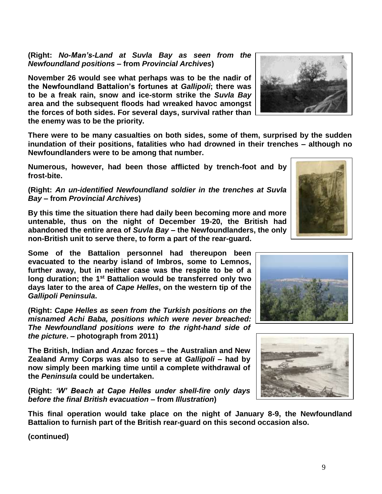**(Right:** *No-Man's-Land at Suvla Bay as seen from the Newfoundland positions* **– from** *Provincial Archives***)**

**November 26 would see what perhaps was to be the nadir of the Newfoundland Battalion's fortunes at** *Gallipoli***; there was to be a freak rain, snow and ice-storm strike the** *Suvla Bay* **area and the subsequent floods had wreaked havoc amongst the forces of both sides. For several days, survival rather than the enemy was to be the priority.**

**There were to be many casualties on both sides, some of them, surprised by the sudden inundation of their positions, fatalities who had drowned in their trenches – although no Newfoundlanders were to be among that number.**

**Numerous, however, had been those afflicted by trench-foot and by frost-bite.**

## **(Right:** *An un-identified Newfoundland soldier in the trenches at Suvla Bay –* **from** *Provincial Archives***)**

**By this time the situation there had daily been becoming more and more untenable, thus on the night of December 19-20, the British had abandoned the entire area of** *Suvla Bay* **– the Newfoundlanders, the only non-British unit to serve there, to form a part of the rear-guard.** 

**Some of the Battalion personnel had thereupon been evacuated to the nearby island of Imbros, some to Lemnos, further away, but in neither case was the respite to be of a long duration; the 1st Battalion would be transferred only two days later to the area of** *Cape Helles***, on the western tip of the**  *Gallipoli Peninsula***.**

**(Right:** *Cape Helles as seen from the Turkish positions on the misnamed Achi Baba, positions which were never breached: The Newfoundland positions were to the right-hand side of the picture***. – photograph from 2011)**

**The British, Indian and** *Anzac* **forces – the Australian and New Zealand Army Corps was also to serve at** *Gallipoli* **– had by now simply been marking time until a complete withdrawal of the** *Peninsula* **could be undertaken.** 

**(Right:** *'W' Beach at Cape Helles under shell-fire only days before the final British evacuation* **– from** *Illustration***)**

**This final operation would take place on the night of January 8-9, the Newfoundland Battalion to furnish part of the British rear-guard on this second occasion also.**







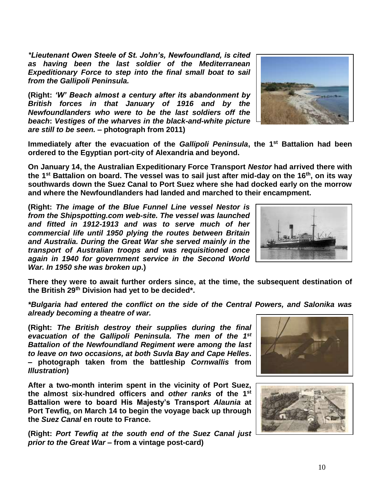*Expeditionary Force to step into the final small boat to sail from the Gallipoli Peninsula.* **(Right:** *'W' Beach almost a century after its abandonment by* 

*\*Lieutenant Owen Steele of St. John's, Newfoundland, is cited as having been the last soldier of the Mediterranean* 

*British forces in that January of 1916 and by the Newfoundlanders who were to be the last soldiers off the beach***:** *Vestiges of the wharves in the black-and-white picture are still to be seen.* **– photograph from 2011)**

**Immediately after the evacuation of the** *Gallipoli Peninsula***, the 1st Battalion had been ordered to the Egyptian port-city of Alexandria and beyond.** 

**On January 14, the Australian Expeditionary Force Transport** *Nestor* **had arrived there with the 1st Battalion on board. The vessel was to sail just after mid-day on the 16th, on its way southwards down the Suez Canal to Port Suez where she had docked early on the morrow and where the Newfoundlanders had landed and marched to their encampment.**

**(Right:** *The image of the Blue Funnel Line vessel Nestor is from the Shipspotting.com web-site. The vessel was launched and fitted in 1912-1913 and was to serve much of her commercial life until 1950 plying the routes between Britain and Australia. During the Great War she served mainly in the transport of Australian troops and was requisitioned once again in 1940 for government service in the Second World War. In 1950 she was broken up***.)**

**There they were to await further orders since, at the time, the subsequent destination of the British 29th Division had yet to be decided\*.**

*\*Bulgaria had entered the conflict on the side of the Central Powers, and Salonika was already becoming a theatre of war.*

**(Right:** *The British destroy their supplies during the final evacuation of the Gallipoli Peninsula. The men of the 1st Battalion of the Newfoundland Regiment were among the last to leave on two occasions, at both Suvla Bay and Cape Helles***. – photograph taken from the battleship** *Cornwallis* **from** *Illustration***)**

**After a two-month interim spent in the vicinity of Port Suez, the almost six-hundred officers and** *other ranks* **of the 1st Battalion were to board His Majesty's Transport** *Alaunia* **at Port Tewfiq, on March 14 to begin the voyage back up through the** *Suez Canal* **en route to France.**

**(Right:** *Port Tewfiq at the south end of the Suez Canal just prior to the Great War* **– from a vintage post-card)**







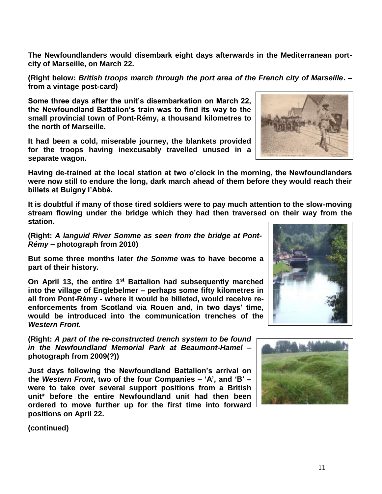**The Newfoundlanders would disembark eight days afterwards in the Mediterranean portcity of Marseille, on March 22.**

**(Right below:** *British troops march through the port area of the French city of Marseille***. – from a vintage post-card)**

**Some three days after the unit's disembarkation on March 22, the Newfoundland Battalion's train was to find its way to the small provincial town of Pont-Rémy, a thousand kilometres to the north of Marseille.** 

**It had been a cold, miserable journey, the blankets provided for the troops having inexcusably travelled unused in a separate wagon.**

**Having de-trained at the local station at two o'clock in the morning, the Newfoundlanders were now still to endure the long, dark march ahead of them before they would reach their billets at Buigny l'Abbé.**

**It is doubtful if many of those tired soldiers were to pay much attention to the slow-moving stream flowing under the bridge which they had then traversed on their way from the station.** 

**(Right:** *A languid River Somme as seen from the bridge at Pont-Rémy* **– photograph from 2010)**

**But some three months later** *the Somme* **was to have become a part of their history.**

**On April 13, the entire 1st Battalion had subsequently marched into the village of Englebelmer – perhaps some fifty kilometres in all from Pont-Rémy - where it would be billeted, would receive reenforcements from Scotland via Rouen and, in two days' time, would be introduced into the communication trenches of the**  *Western Front.*

**(Right:** *A part of the re-constructed trench system to be found in the Newfoundland Memorial Park at Beaumont-Hamel* **– photograph from 2009(?))**

**Just days following the Newfoundland Battalion's arrival on the** *Western Front***, two of the four Companies – 'A', and 'B' – were to take over several support positions from a British unit\* before the entire Newfoundland unit had then been ordered to move further up for the first time into forward positions on April 22.**





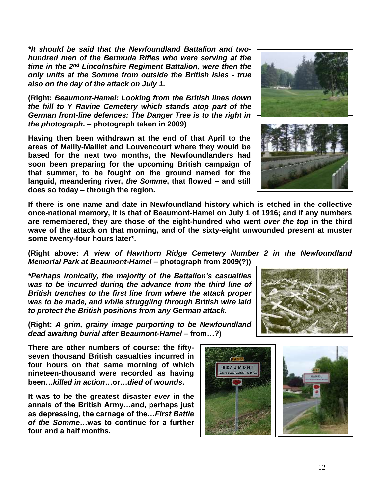*\*It should be said that the Newfoundland Battalion and twohundred men of the Bermuda Rifles who were serving at the time in the 2nd Lincolnshire Regiment Battalion, were then the only units at the Somme from outside the British Isles - true also on the day of the attack on July 1.*

**(Right:** *Beaumont-Hamel: Looking from the British lines down the hill to Y Ravine Cemetery which stands atop part of the German front-line defences: The Danger Tree is to the right in the photograph***. – photograph taken in 2009)**

**Having then been withdrawn at the end of that April to the areas of Mailly-Maillet and Louvencourt where they would be based for the next two months, the Newfoundlanders had soon been preparing for the upcoming British campaign of that summer, to be fought on the ground named for the languid, meandering river,** *the Somme***, that flowed – and still does so today – through the region.** 

**If there is one name and date in Newfoundland history which is etched in the collective once-national memory, it is that of Beaumont-Hamel on July 1 of 1916; and if any numbers are remembered, they are those of the eight-hundred who went** *over the top* **in the third wave of the attack on that morning, and of the sixty-eight unwounded present at muster some twenty-four hours later\*.**

**(Right above:** *A view of Hawthorn Ridge Cemetery Number 2 in the Newfoundland Memorial Park at Beaumont-Hamel* **– photograph from 2009(?))**

*\*Perhaps ironically, the majority of the Battalion's casualties was to be incurred during the advance from the third line of British trenches to the first line from where the attack proper was to be made, and while struggling through British wire laid to protect the British positions from any German attack.*

**(Right:** *A grim, grainy image purporting to be Newfoundland dead awaiting burial after Beaumont-Hamel –* **from…?)**

**There are other numbers of course: the fiftyseven thousand British casualties incurred in four hours on that same morning of which nineteen-thousand were recorded as having been…***killed in action***…or…***died of wounds***.** 

**It was to be the greatest disaster** *ever* **in the annals of the British Army…and, perhaps just as depressing, the carnage of the…***First Battle of the Somme***…was to continue for a further four and a half months.**

![](_page_11_Picture_10.jpeg)

![](_page_11_Picture_11.jpeg)

![](_page_11_Picture_12.jpeg)

![](_page_11_Picture_13.jpeg)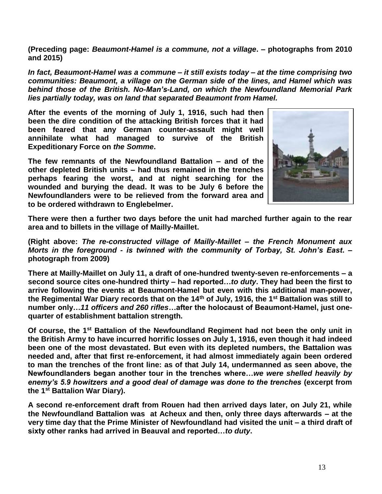**(Preceding page:** *Beaumont-Hamel is a commune, not a village***. – photographs from 2010 and 2015)**

*In fact, Beaumont-Hamel was a commune – it still exists today – at the time comprising two communities: Beaumont, a village on the German side of the lines, and Hamel which was behind those of the British. No-Man's-Land, on which the Newfoundland Memorial Park lies partially today, was on land that separated Beaumont from Hamel.* 

**After the events of the morning of July 1, 1916, such had then been the dire condition of the attacking British forces that it had been feared that any German counter-assault might well annihilate what had managed to survive of the British Expeditionary Force on** *the Somme***.** 

**The few remnants of the Newfoundland Battalion – and of the other depleted British units – had thus remained in the trenches perhaps fearing the worst, and at night searching for the wounded and burying the dead. It was to be July 6 before the Newfoundlanders were to be relieved from the forward area and to be ordered withdrawn to Englebelmer.** 

![](_page_12_Picture_4.jpeg)

**There were then a further two days before the unit had marched further again to the rear area and to billets in the village of Mailly-Maillet.**

**(Right above:** *The re-constructed village of Mailly-Maillet – the French Monument aux Morts in the foreground - is twinned with the community of Torbay, St. John's East***. – photograph from 2009)**

**There at Mailly-Maillet on July 11, a draft of one-hundred twenty-seven re-enforcements – a second source cites one-hundred thirty – had reported…***to duty***. They had been the first to arrive following the events at Beaumont-Hamel but even with this additional man-power, the Regimental War Diary records that on the 14th of July, 1916, the 1st Battalion was still to number only…***11 officers and 260 rifles***…after the holocaust of Beaumont-Hamel, just onequarter of establishment battalion strength.**

**Of course, the 1st Battalion of the Newfoundland Regiment had not been the only unit in the British Army to have incurred horrific losses on July 1, 1916, even though it had indeed been one of the most devastated. But even with its depleted numbers, the Battalion was needed and, after that first re-enforcement, it had almost immediately again been ordered to man the trenches of the front line: as of that July 14, undermanned as seen above, the Newfoundlanders began another tour in the trenches where…***we were shelled heavily by enemy's 5.9 howitzers and a good deal of damage was done to the trenches* **(excerpt from the 1st Battalion War Diary).**

**A second re-enforcement draft from Rouen had then arrived days later, on July 21, while the Newfoundland Battalion was at Acheux and then, only three days afterwards – at the very time day that the Prime Minister of Newfoundland had visited the unit – a third draft of sixty other ranks had arrived in Beauval and reported…***to duty***.**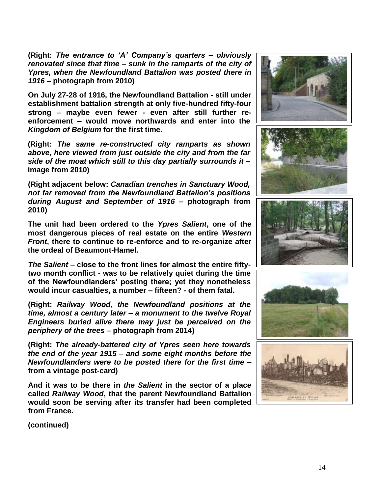**(Right:** *The entrance to 'A' Company's quarters – obviously renovated since that time – sunk in the ramparts of the city of Ypres, when the Newfoundland Battalion was posted there in 1916 –* **photograph from 2010)**

**On July 27-28 of 1916, the Newfoundland Battalion - still under establishment battalion strength at only five-hundred fifty-four strong – maybe even fewer - even after still further reenforcement – would move northwards and enter into the**  *Kingdom of Belgium* **for the first time.** 

**(Right:** *The same re-constructed city ramparts as shown above, here viewed from just outside the city and from the far side of the moat which still to this day partially surrounds it* **– image from 2010)**

**(Right adjacent below:** *Canadian trenches in Sanctuary Wood, not far removed from the Newfoundland Battalion's positions during August and September of 1916* **– photograph from 2010)**

**The unit had been ordered to the** *Ypres Salient***, one of the most dangerous pieces of real estate on the entire** *Western Front***, there to continue to re-enforce and to re-organize after the ordeal of Beaumont-Hamel.** 

*The Salient* **– close to the front lines for almost the entire fiftytwo month conflict - was to be relatively quiet during the time of the Newfoundlanders' posting there; yet they nonetheless would incur casualties, a number – fifteen? - of them fatal.**

**(Right:** *Railway Wood, the Newfoundland positions at the time, almost a century later – a monument to the twelve Royal Engineers buried alive there may just be perceived on the periphery of the trees* **– photograph from 2014)**

**(Right:** *The already-battered city of Ypres seen here towards the end of the year 1915 – and some eight months before the Newfoundlanders were to be posted there for the first time* **– from a vintage post-card)**

**And it was to be there in** *the Salient* **in the sector of a place called** *Railway Wood***, that the parent Newfoundland Battalion would soon be serving after its transfer had been completed from France.**

![](_page_13_Picture_10.jpeg)

![](_page_13_Picture_11.jpeg)

![](_page_13_Picture_12.jpeg)

![](_page_13_Picture_13.jpeg)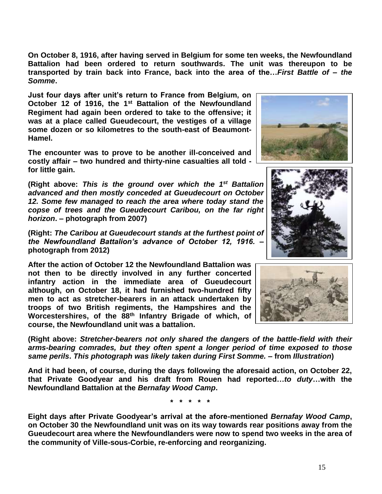**On October 8, 1916, after having served in Belgium for some ten weeks, the Newfoundland Battalion had been ordered to return southwards. The unit was thereupon to be transported by train back into France, back into the area of the…***First Battle of* **–** *the Somme***.**

**Just four days after unit's return to France from Belgium, on October 12 of 1916, the 1st Battalion of the Newfoundland Regiment had again been ordered to take to the offensive; it was at a place called Gueudecourt, the vestiges of a village some dozen or so kilometres to the south-east of Beaumont-Hamel.**

**The encounter was to prove to be another ill-conceived and costly affair – two hundred and thirty-nine casualties all told for little gain.** 

(Right above: This is the ground over which the 1<sup>st</sup> Battalion *advanced and then mostly conceded at Gueudecourt on October 12. Some few managed to reach the area where today stand the copse of trees and the Gueudecourt Caribou, on the far right horizon***. – photograph from 2007)**

**(Right:** *The Caribou at Gueudecourt stands at the furthest point of the Newfoundland Battalion's advance of October 12, 1916.* **– photograph from 2012)**

**After the action of October 12 the Newfoundland Battalion was not then to be directly involved in any further concerted infantry action in the immediate area of Gueudecourt although, on October 18, it had furnished two-hundred fifty men to act as stretcher-bearers in an attack undertaken by troops of two British regiments, the Hampshires and the Worcestershires, of the 88th Infantry Brigade of which, of course, the Newfoundland unit was a battalion.**

**(Right above:** *Stretcher-bearers not only shared the dangers of the battle-field with their arms-bearing comrades, but they often spent a longer period of time exposed to those same perils***.** *This photograph was likely taken during First Somme.* **– from** *Illustration***)**

**And it had been, of course, during the days following the aforesaid action, on October 22, that Private Goodyear and his draft from Rouen had reported…***to duty***…with the Newfoundland Battalion at the** *Bernafay Wood Camp***.**

**\* \* \* \* \***

**Eight days after Private Goodyear's arrival at the afore-mentioned** *Bernafay Wood Camp***, on October 30 the Newfoundland unit was on its way towards rear positions away from the Gueudecourt area where the Newfoundlanders were now to spend two weeks in the area of the community of Ville-sous-Corbie, re-enforcing and reorganizing.** 

![](_page_14_Picture_10.jpeg)

![](_page_14_Picture_11.jpeg)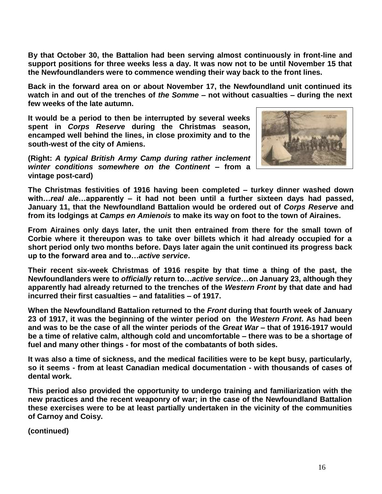**By that October 30, the Battalion had been serving almost continuously in front-line and support positions for three weeks less a day. It was now not to be until November 15 that the Newfoundlanders were to commence wending their way back to the front lines.** 

**Back in the forward area on or about November 17, the Newfoundland unit continued its watch in and out of the trenches of** *the Somme* **– not without casualties – during the next few weeks of the late autumn.** 

**It would be a period to then be interrupted by several weeks spent in** *Corps Reserve* **during the Christmas season, encamped well behind the lines, in close proximity and to the south-west of the city of Amiens.** 

**(Right:** *A typical British Army Camp during rather inclement winter conditions somewhere on the Continent* **– from a vintage post-card)** 

![](_page_15_Picture_4.jpeg)

**The Christmas festivities of 1916 having been completed – turkey dinner washed down with…***real ale***…apparently – it had not been until a further sixteen days had passed, January 11, that the Newfoundland Battalion would be ordered out of** *Corps Reserve* **and from its lodgings at** *Camps en Amienois* **to make its way on foot to the town of Airaines.**

**From Airaines only days later, the unit then entrained from there for the small town of Corbie where it thereupon was to take over billets which it had already occupied for a short period only two months before. Days later again the unit continued its progress back up to the forward area and to…***active service***.**

**Their recent six-week Christmas of 1916 respite by that time a thing of the past, the Newfoundlanders were to** *officially* **return to…***active service***…on January 23, although they apparently had already returned to the trenches of the** *Western Front* **by that date and had incurred their first casualties – and fatalities – of 1917.**

**When the Newfoundland Battalion returned to the** *Front* **during that fourth week of January 23 of 1917, it was the beginning of the winter period on the** *Western Front***. As had been and was to be the case of all the winter periods of the** *Great War* **– that of 1916-1917 would be a time of relative calm, although cold and uncomfortable – there was to be a shortage of fuel and many other things - for most of the combatants of both sides.** 

**It was also a time of sickness, and the medical facilities were to be kept busy, particularly, so it seems - from at least Canadian medical documentation - with thousands of cases of dental work.**

**This period also provided the opportunity to undergo training and familiarization with the new practices and the recent weaponry of war; in the case of the Newfoundland Battalion these exercises were to be at least partially undertaken in the vicinity of the communities of Carnoy and Coisy.**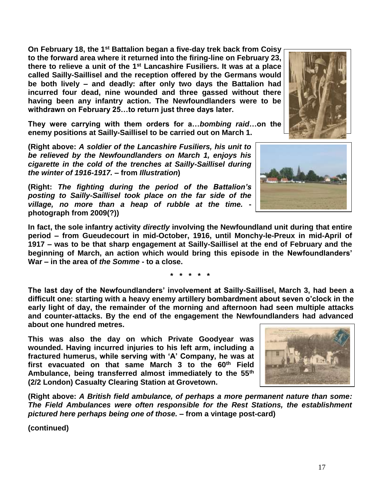**On February 18, the 1st Battalion began a five-day trek back from Coisy to the forward area where it returned into the firing-line on February 23, there to relieve a unit of the 1st Lancashire Fusiliers. It was at a place called Sailly-Saillisel and the reception offered by the Germans would be both lively – and deadly: after only two days the Battalion had incurred four dead, nine wounded and three gassed without there having been any infantry action. The Newfoundlanders were to be withdrawn on February 25…to return just three days later.**

**They were carrying with them orders for a…***bombing raid***…on the enemy positions at Sailly-Saillisel to be carried out on March 1.**

**(Right above:** *A soldier of the Lancashire Fusiliers, his unit to be relieved by the Newfoundlanders on March 1, enjoys his cigarette in the cold of the trenches at Sailly-Saillisel during the winter of 1916-1917. –* **from** *Illustration***)**

**(Right:** *The fighting during the period of the Battalion's posting to Sailly-Saillisel took place on the far side of the village, no more than a heap of rubble at the time.*  **photograph from 2009(?))**

**In fact, the sole infantry activity** *directly* **involving the Newfoundland unit during that entire period – from Gueudecourt in mid-October, 1916, until Monchy-le-Preux in mid-April of 1917 – was to be that sharp engagement at Sailly-Saillisel at the end of February and the beginning of March, an action which would bring this episode in the Newfoundlanders' War – in the area of** *the Somme* **- to a close.**

**\* \* \* \* \***

**The last day of the Newfoundlanders' involvement at Sailly-Saillisel, March 3, had been a difficult one: starting with a heavy enemy artillery bombardment about seven o'clock in the early light of day, the remainder of the morning and afternoon had seen multiple attacks and counter-attacks. By the end of the engagement the Newfoundlanders had advanced about one hundred metres.**

**This was also the day on which Private Goodyear was wounded. Having incurred injuries to his left arm, including a fractured humerus, while serving with 'A' Company, he was at first evacuated on that same March 3 to the 60th Field Ambulance, being transferred almost immediately to the 55th (2/2 London) Casualty Clearing Station at Grovetown.** 

**(Right above:** *A British field ambulance, of perhaps a more permanent nature than some: The Field Ambulances were often responsible for the Rest Stations, the establishment pictured here perhaps being one of those.* **– from a vintage post-card)**

![](_page_16_Picture_11.jpeg)

![](_page_16_Picture_12.jpeg)

![](_page_16_Picture_13.jpeg)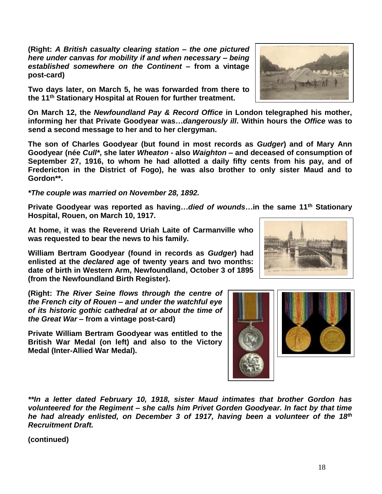**(Right:** *A British casualty clearing station – the one pictured here under canvas for mobility if and when necessary – being established somewhere on the Continent* **– from a vintage post-card)**

**Two days later, on March 5, he was forwarded from there to the 11th Stationary Hospital at Rouen for further treatment.**

**On March 12, the** *Newfoundland Pay & Record Office* **in London telegraphed his mother, informing her that Private Goodyear was…***dangerously ill***. Within hours the** *Office* **was to send a second message to her and to her clergyman.**

**The son of Charles Goodyear (but found in most records as** *Gudger***) and of Mary Ann Goodyear (née** *Cull\****, she later** *Wheaton* **- also** *Waighton* **– and deceased of consumption of September 27, 1916, to whom he had allotted a daily fifty cents from his pay, and of Fredericton in the District of Fogo), he was also brother to only sister Maud and to Gordon\*\*.** 

*\*The couple was married on November 28, 1892.*

**Private Goodyear was reported as having…***died of wounds***…in the same 11th Stationary Hospital, Rouen, on March 10, 1917.**

**At home, it was the Reverend Uriah Laite of Carmanville who was requested to bear the news to his family.**

**William Bertram Goodyear (found in records as** *Gudger***) had enlisted at the** *declared* **age of twenty years and two months: date of birth in Western Arm, Newfoundland, October 3 of 1895 (from the Newfoundland Birth Register).**

**(Right:** *The River Seine flows through the centre of the French city of Rouen – and under the watchful eye of its historic gothic cathedral at or about the time of the Great War* **– from a vintage post-card)**

**Private William Bertram Goodyear was entitled to the British War Medal (on left) and also to the Victory Medal (Inter-Allied War Medal).**

![](_page_17_Picture_10.jpeg)

*\*\*In a letter dated February 10, 1918, sister Maud intimates that brother Gordon has volunteered for the Regiment – she calls him Privet Gorden Goodyear. In fact by that time he had already enlisted, on December 3 of 1917, having been a volunteer of the 18th Recruitment Draft.*

![](_page_17_Picture_13.jpeg)

![](_page_17_Picture_14.jpeg)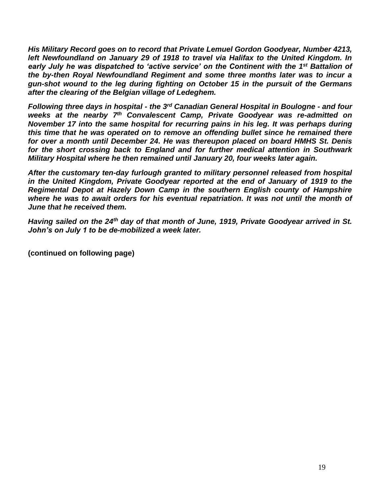*His Military Record goes on to record that Private Lemuel Gordon Goodyear, Number 4213,*  left Newfoundland on January 29 of 1918 to travel via Halifax to the United Kingdom. In *early July he was dispatched to 'active service' on the Continent with the 1st Battalion of the by-then Royal Newfoundland Regiment and some three months later was to incur a gun-shot wound to the leg during fighting on October 15 in the pursuit of the Germans after the clearing of the Belgian village of Ledeghem.*

*Following three days in hospital - the 3rd Canadian General Hospital in Boulogne - and four weeks at the nearby 7 th Convalescent Camp, Private Goodyear was re-admitted on November 17 into the same hospital for recurring pains in his leg. It was perhaps during this time that he was operated on to remove an offending bullet since he remained there for over a month until December 24. He was thereupon placed on board HMHS St. Denis for the short crossing back to England and for further medical attention in Southwark Military Hospital where he then remained until January 20, four weeks later again.* 

*After the customary ten-day furlough granted to military personnel released from hospital in the United Kingdom, Private Goodyear reported at the end of January of 1919 to the Regimental Depot at Hazely Down Camp in the southern English county of Hampshire where he was to await orders for his eventual repatriation. It was not until the month of June that he received them.*

*Having sailed on the 24th day of that month of June, 1919, Private Goodyear arrived in St. John's on July 1 to be de-mobilized a week later.*

**(continued on following page)**